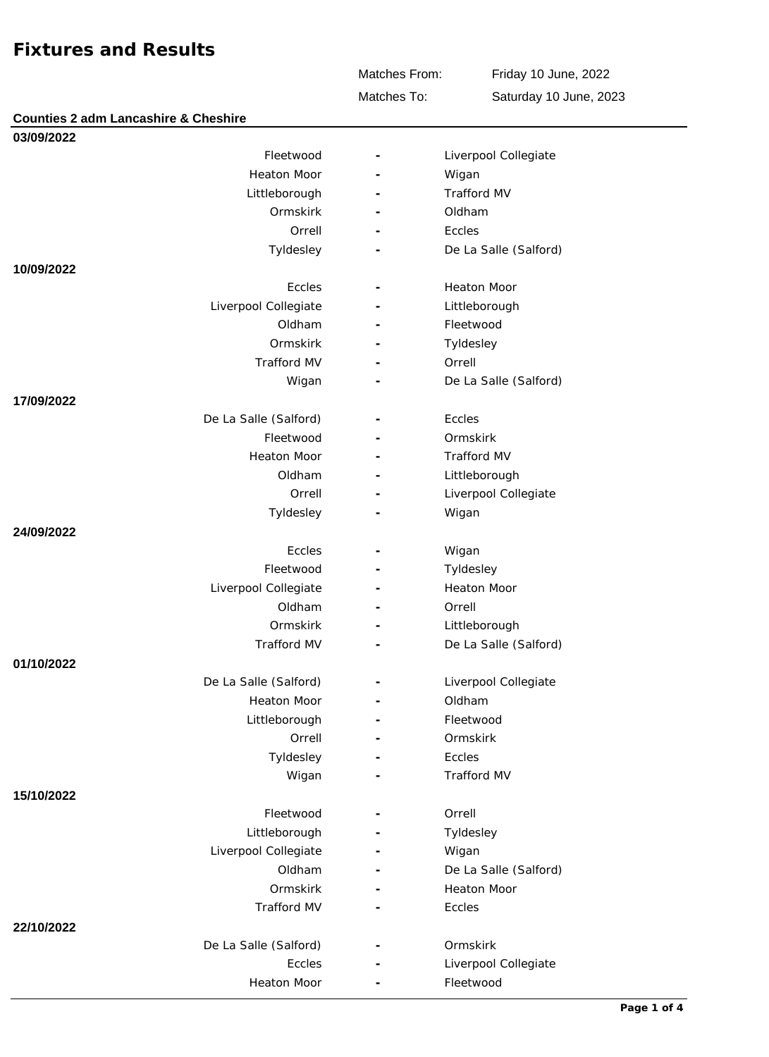**Counties 2 adm Lancashire & Cheshire**

Matches From:

Friday 10 June, 2022

Matches To:

Saturday 10 June, 2023

| 03/09/2022            |                              |                       |
|-----------------------|------------------------------|-----------------------|
| Fleetwood             | $\overline{\phantom{a}}$     | Liverpool Collegiate  |
| <b>Heaton Moor</b>    | $\qquad \qquad \blacksquare$ | Wigan                 |
| Littleborough         |                              | <b>Trafford MV</b>    |
| Ormskirk              |                              | Oldham                |
| Orrell                |                              | Eccles                |
| Tyldesley             |                              | De La Salle (Salford) |
| 10/09/2022            |                              |                       |
| Eccles                | $\overline{a}$               | <b>Heaton Moor</b>    |
| Liverpool Collegiate  |                              | Littleborough         |
| Oldham                |                              | Fleetwood             |
| Ormskirk              |                              | Tyldesley             |
| Trafford MV           |                              | Orrell                |
| Wigan                 |                              | De La Salle (Salford) |
| 17/09/2022            |                              |                       |
| De La Salle (Salford) |                              | Eccles                |
| Fleetwood             |                              | Ormskirk              |
| <b>Heaton Moor</b>    |                              | <b>Trafford MV</b>    |
| Oldham                |                              | Littleborough         |
| Orrell                |                              | Liverpool Collegiate  |
| Tyldesley             |                              | Wigan                 |
| 24/09/2022            |                              |                       |
| Eccles                | $\overline{\phantom{a}}$     | Wigan                 |
| Fleetwood             |                              | Tyldesley             |
| Liverpool Collegiate  |                              | <b>Heaton Moor</b>    |
| Oldham                | ٠                            | Orrell                |
| Ormskirk              | $\overline{\phantom{0}}$     | Littleborough         |
| <b>Trafford MV</b>    | ÷.                           | De La Salle (Salford) |
| 01/10/2022            |                              |                       |
| De La Salle (Salford) | ۰                            | Liverpool Collegiate  |
| Heaton Moor           |                              | Oldham                |
| Littleborough         |                              | Fleetwood             |
| Orrell                |                              | Ormskirk              |
| Tyldesley             |                              | Eccles                |
| Wigan                 |                              | <b>Trafford MV</b>    |
| 15/10/2022            |                              |                       |
| Fleetwood             |                              | Orrell                |
| Littleborough         |                              | Tyldesley             |
| Liverpool Collegiate  |                              | Wigan                 |
| Oldham                |                              | De La Salle (Salford) |
| Ormskirk              |                              | <b>Heaton Moor</b>    |
| Trafford MV           |                              | Eccles                |
| 22/10/2022            |                              |                       |
| De La Salle (Salford) |                              | Ormskirk              |
| Eccles                |                              | Liverpool Collegiate  |
| <b>Heaton Moor</b>    |                              | Fleetwood             |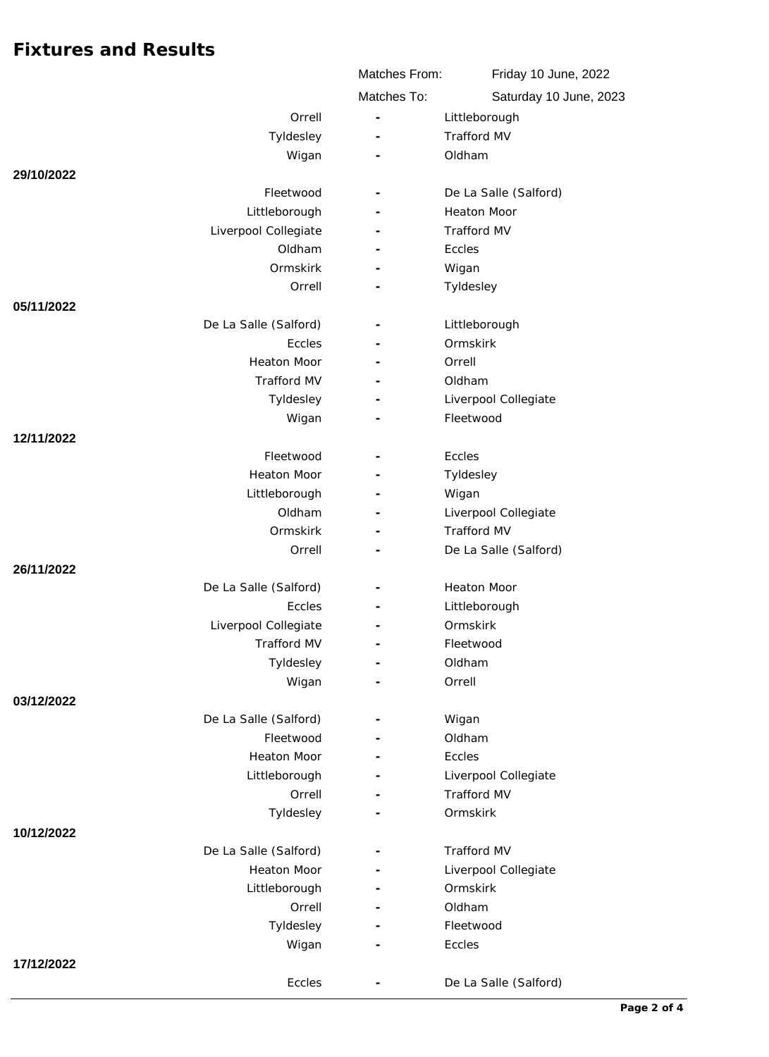|                       | Matches From:            | Friday 10 June, 2022<br>Saturday 10 June, 2023 |
|-----------------------|--------------------------|------------------------------------------------|
|                       | Matches To:              |                                                |
| Orrell                | $\overline{\phantom{m}}$ | Littleborough                                  |
| Tyldesley             |                          | Trafford MV                                    |
| Wigan                 |                          | Oldham                                         |
| 29/10/2022            |                          |                                                |
| Fleetwood             |                          | De La Salle (Salford)                          |
| Littleborough         |                          | <b>Heaton Moor</b>                             |
| Liverpool Collegiate  |                          | Trafford MV                                    |
| Oldham                |                          | Eccles                                         |
| Ormskirk              |                          | Wigan                                          |
| Orrell                |                          | Tyldesley                                      |
| 05/11/2022            |                          |                                                |
| De La Salle (Salford) |                          | Littleborough                                  |
| Eccles                |                          | Ormskirk                                       |
| <b>Heaton Moor</b>    |                          | Orrell                                         |
| <b>Trafford MV</b>    |                          | Oldham                                         |
| Tyldesley             |                          | Liverpool Collegiate                           |
| Wigan                 |                          | Fleetwood                                      |
| 12/11/2022            |                          |                                                |
| Fleetwood             |                          | Eccles                                         |
| <b>Heaton Moor</b>    | $\overline{\phantom{a}}$ | Tyldesley                                      |
| Littleborough         |                          | Wigan                                          |
| Oldham                |                          | Liverpool Collegiate                           |
| Ormskirk              |                          | <b>Trafford MV</b>                             |
| Orrell                | $\overline{\phantom{a}}$ | De La Salle (Salford)                          |
| 26/11/2022            |                          |                                                |
| De La Salle (Salford) |                          | <b>Heaton Moor</b>                             |
| Eccles                |                          | Littleborough                                  |
| Liverpool Collegiate  |                          | Ormskirk                                       |
| Trafford MV           |                          | Fleetwood                                      |
| Tyldesley             |                          | Oldham                                         |
| Wigan                 |                          | Orrell                                         |
| 03/12/2022            |                          |                                                |
| De La Salle (Salford) |                          | Wigan                                          |
| Fleetwood             |                          | Oldham                                         |
| <b>Heaton Moor</b>    |                          | <b>Eccles</b>                                  |
| Littleborough         |                          | Liverpool Collegiate                           |
| Orrell                |                          | Trafford MV                                    |
| Tyldesley             |                          | Ormskirk                                       |
| 10/12/2022            |                          |                                                |
| De La Salle (Salford) |                          | Trafford MV                                    |
| <b>Heaton Moor</b>    |                          | Liverpool Collegiate                           |
| Littleborough         |                          | Ormskirk                                       |
| Orrell                |                          | Oldham                                         |
| Tyldesley             |                          | Fleetwood<br>Eccles                            |
| Wigan                 |                          |                                                |
| 17/12/2022<br>Eccles  |                          | De La Salle (Salford)                          |
|                       |                          |                                                |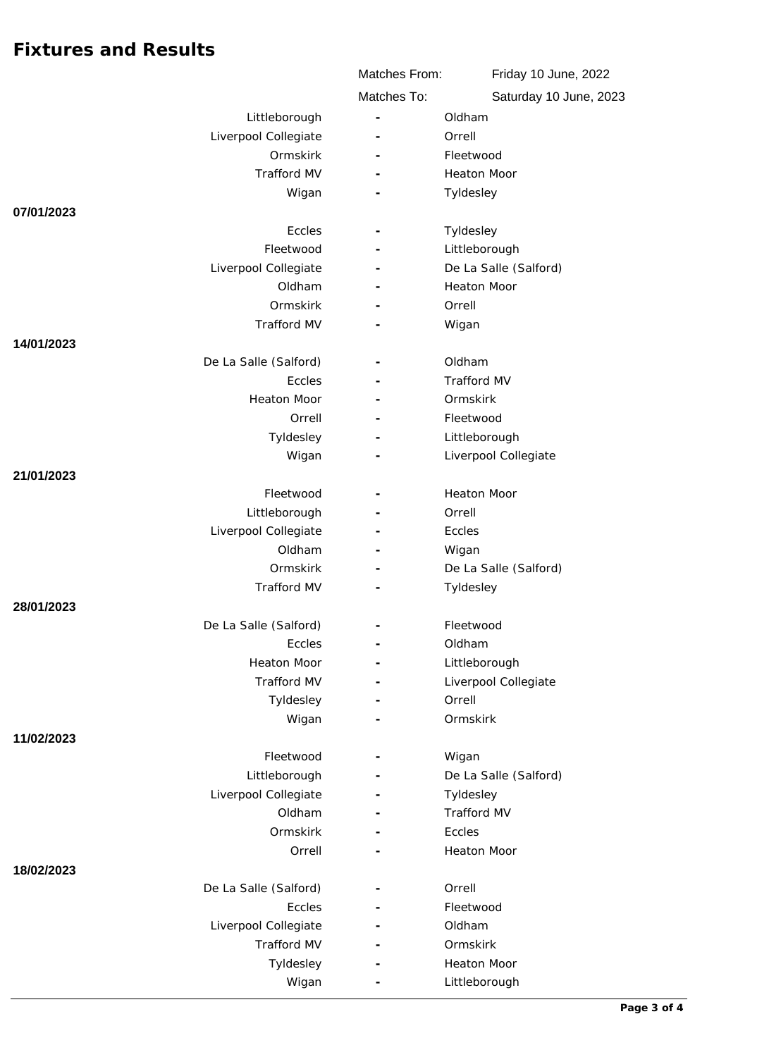|                       | Matches From:            | Friday 10 June, 2022<br>Saturday 10 June, 2023 |
|-----------------------|--------------------------|------------------------------------------------|
|                       | Matches To:              |                                                |
| Littleborough         |                          | Oldham                                         |
| Liverpool Collegiate  |                          | Orrell                                         |
| Ormskirk              |                          | Fleetwood                                      |
| <b>Trafford MV</b>    | ٠                        | <b>Heaton Moor</b>                             |
| Wigan                 |                          | Tyldesley                                      |
| 07/01/2023            |                          |                                                |
| Eccles                | $\overline{\phantom{a}}$ | Tyldesley                                      |
| Fleetwood             | $\overline{\phantom{a}}$ | Littleborough                                  |
| Liverpool Collegiate  |                          | De La Salle (Salford)                          |
| Oldham                |                          | <b>Heaton Moor</b>                             |
| Ormskirk              |                          | Orrell                                         |
| <b>Trafford MV</b>    | ٠                        | Wigan                                          |
| 14/01/2023            |                          |                                                |
| De La Salle (Salford) |                          | Oldham                                         |
| Eccles                |                          | <b>Trafford MV</b>                             |
| <b>Heaton Moor</b>    |                          | Ormskirk                                       |
| Orrell                |                          | Fleetwood                                      |
| Tyldesley             |                          | Littleborough                                  |
| Wigan                 |                          | Liverpool Collegiate                           |
| 21/01/2023            |                          |                                                |
| Fleetwood             |                          | <b>Heaton Moor</b>                             |
| Littleborough         |                          | Orrell                                         |
| Liverpool Collegiate  |                          | Eccles                                         |
| Oldham<br>Ormskirk    | $\overline{\phantom{a}}$ | Wigan                                          |
| <b>Trafford MV</b>    |                          | De La Salle (Salford)<br>Tyldesley             |
| 28/01/2023            |                          |                                                |
| De La Salle (Salford) |                          | Fleetwood                                      |
| Eccles                |                          | Oldham                                         |
| Heaton Moor           | $\overline{\phantom{a}}$ | Littleborough                                  |
| Trafford MV           |                          | Liverpool Collegiate                           |
| Tyldesley             |                          | Orrell                                         |
| Wigan                 |                          | Ormskirk                                       |
| 11/02/2023            |                          |                                                |
| Fleetwood             |                          | Wigan                                          |
| Littleborough         |                          | De La Salle (Salford)                          |
| Liverpool Collegiate  |                          | Tyldesley                                      |
| Oldham                |                          | Trafford MV                                    |
| Ormskirk              |                          | Eccles                                         |
| Orrell                |                          | Heaton Moor                                    |
| 18/02/2023            |                          |                                                |
| De La Salle (Salford) |                          | Orrell                                         |
| Eccles                |                          | Fleetwood                                      |
| Liverpool Collegiate  |                          | Oldham                                         |
| Trafford MV           |                          | Ormskirk                                       |
| Tyldesley             |                          | Heaton Moor                                    |
| Wigan                 |                          | Littleborough                                  |